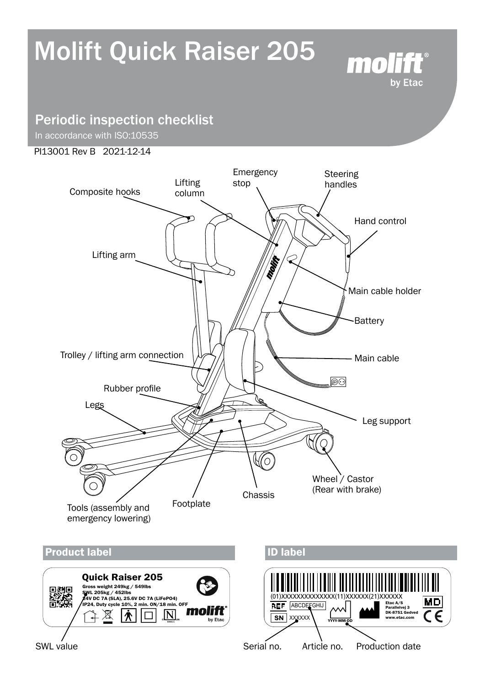# Molift Quick Raiser 205



## Periodic inspection checklist

In accordance with ISO:10535

#### PI13001 Rev B 2021-12-14

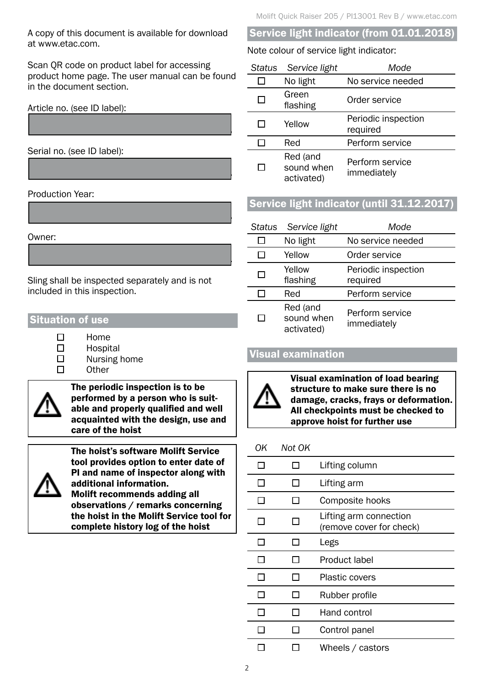A copy of this document is available for download at www.etac.com.

Scan QR code on product label for accessing product home page. The user manual can be found in the document section.

........................................................................................

........................................................................................

........................................................................................

........................................................................................

Article no. (see ID label):

Serial no. (see ID label):

Production Year:

#### Owner:

Sling shall be inspected separately and is not included in this inspection.

## Situation of use

 $\Box$ 

Home Hospital

- Nursing home
- **Other**



The periodic inspection is to be performed by a person who is suitable and properly qualified and well acquainted with the design, use and care of the hoist



The hoist's software Molift Service tool provides option to enter date of PI and name of inspector along with additional information. Molift recommends adding all observations / remarks concerning the hoist in the Molift Service tool for complete history log of the hoist

## Service light indicator (from 01.01.2018)

#### Note colour of service light indicator:

| Status       | Service light                        | Mode                            |
|--------------|--------------------------------------|---------------------------------|
|              | No light                             | No service needed               |
| ΙI           | Green<br>flashing                    | Order service                   |
|              | Yellow                               | Periodic inspection<br>required |
|              | Red                                  | Perform service                 |
| $\mathbf{I}$ | Red (and<br>sound when<br>activated) | Perform service<br>immediately  |

## Service light indicator (until 31.12.2017)

| <b>Status</b> | Service light                        | Mode                            |
|---------------|--------------------------------------|---------------------------------|
|               | No light                             | No service needed               |
|               | Yellow                               | Order service                   |
|               | Yellow<br>flashing                   | Periodic inspection<br>required |
|               | Red                                  | Perform service                 |
|               | Red (and<br>sound when<br>activated) | Perform service<br>immediately  |

## Visual examination



Visual examination of load bearing structure to make sure there is no damage, cracks, frays or deformation. All checkpoints must be checked to approve hoist for further use

## *OK Not OK*

|  | Lifting column                                     |
|--|----------------------------------------------------|
|  | Lifting arm                                        |
|  | Composite hooks                                    |
|  | Lifting arm connection<br>(remove cover for check) |
|  | Legs                                               |
|  | Product label                                      |
|  | <b>Plastic covers</b>                              |
|  | Rubber profile                                     |
|  | Hand control                                       |
|  | Control panel                                      |
|  | Wheels / castors                                   |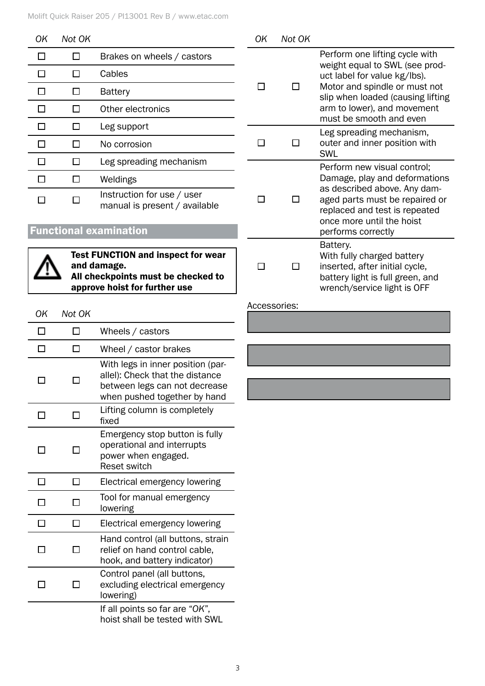| ΟK                                        | Not OK |                                                             | OK | Not OK                                 |                                                                                                                              |
|-------------------------------------------|--------|-------------------------------------------------------------|----|----------------------------------------|------------------------------------------------------------------------------------------------------------------------------|
| П                                         | $\Box$ | Brakes on wheels / castors                                  |    |                                        | Perform one lifting cycle with                                                                                               |
|                                           | П      | Cables                                                      |    |                                        | weight equal to SWL (see prod-<br>uct label for value kg/lbs).                                                               |
| П                                         | $\Box$ | <b>Battery</b>                                              | П  | П                                      | Motor and spindle or must not<br>slip when loaded (causing lifting                                                           |
|                                           | Ш      | Other electronics                                           |    |                                        | arm to lower), and movement                                                                                                  |
|                                           | $\Box$ | Leg support                                                 |    |                                        | must be smooth and even<br>Leg spreading mechanism,                                                                          |
|                                           | $\Box$ | No corrosion                                                | П  | □                                      | outer and inner position with<br><b>SWL</b>                                                                                  |
|                                           | $\Box$ | Leg spreading mechanism                                     |    |                                        | Perform new visual control;                                                                                                  |
|                                           | П      | Weldings                                                    |    |                                        | Damage, play and deformations                                                                                                |
|                                           | □      | Instruction for use / user<br>manual is present / available |    | П                                      | as described above. Any dam-<br>aged parts must be repaired or<br>replaced and test is repeated<br>once more until the hoist |
|                                           |        | <b>Functional examination</b>                               |    |                                        | performs correctly                                                                                                           |
| <b>Test FUNCTION and inspect for wear</b> |        |                                                             |    | Battery.<br>With fully charged battery |                                                                                                                              |

Test FUNCTION and inspect for wear and damage. All checkpoints r approve hoist for

Wheels / castors

| and inspect for wear |  |
|----------------------|--|
|                      |  |
| must be checked to   |  |
| r further use        |  |

| Accessories: |  |  |
|--------------|--|--|
|              |  |  |
|              |  |  |
|              |  |  |
|              |  |  |
|              |  |  |
|              |  |  |

......................................................................................

inserted, after initial cycle, battery light is full green, and wrench/service light is OFF

#### $\Box$  $\Box$ Wheel / castor brakes With legs in inner position (parallel): Check that the distance  $\Box$  $\Box$ between legs can not decrease when pushed together by hand Lifting column is completely  $\Box$  $\Box$ fixed

*OK Not OK*

 $\Box$ 

 $\Box$ 

|  | Emergency stop button is fully<br>operational and interrupts<br>power when engaged.<br><b>Reset switch</b> |
|--|------------------------------------------------------------------------------------------------------------|
|  | Electrical emergency lowering                                                                              |
|  | Tool for manual emergency<br>lowering                                                                      |
|  | Electrical emergency lowering                                                                              |
|  | Hand control (all buttons, strain<br>relief on hand control cable,<br>hook, and battery indicator)         |
|  | Control panel (all buttons,<br>excluding electrical emergency<br>lowering)                                 |
|  | If all points so far are "OK",<br>hoist shall be tested with SWL                                           |